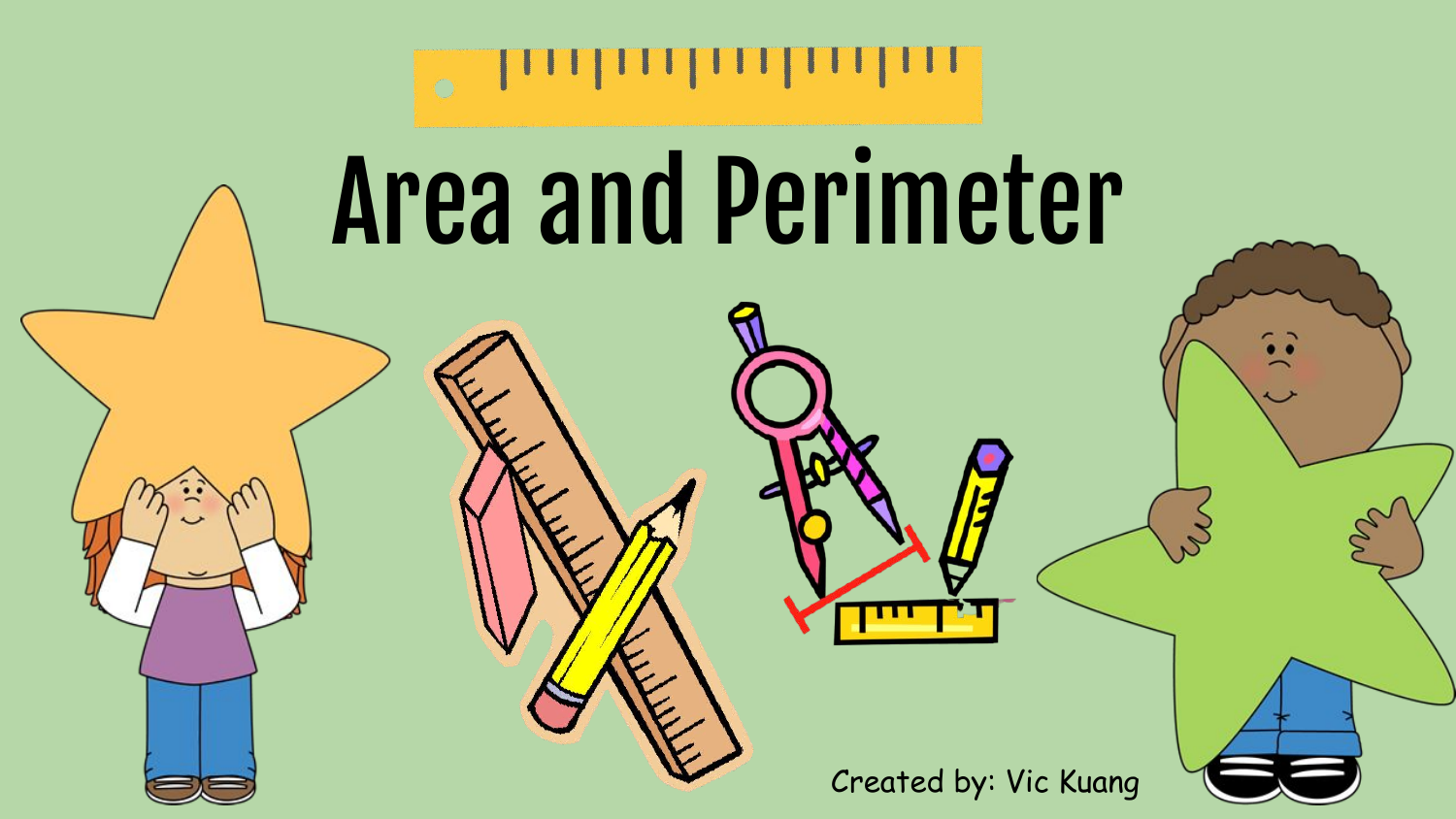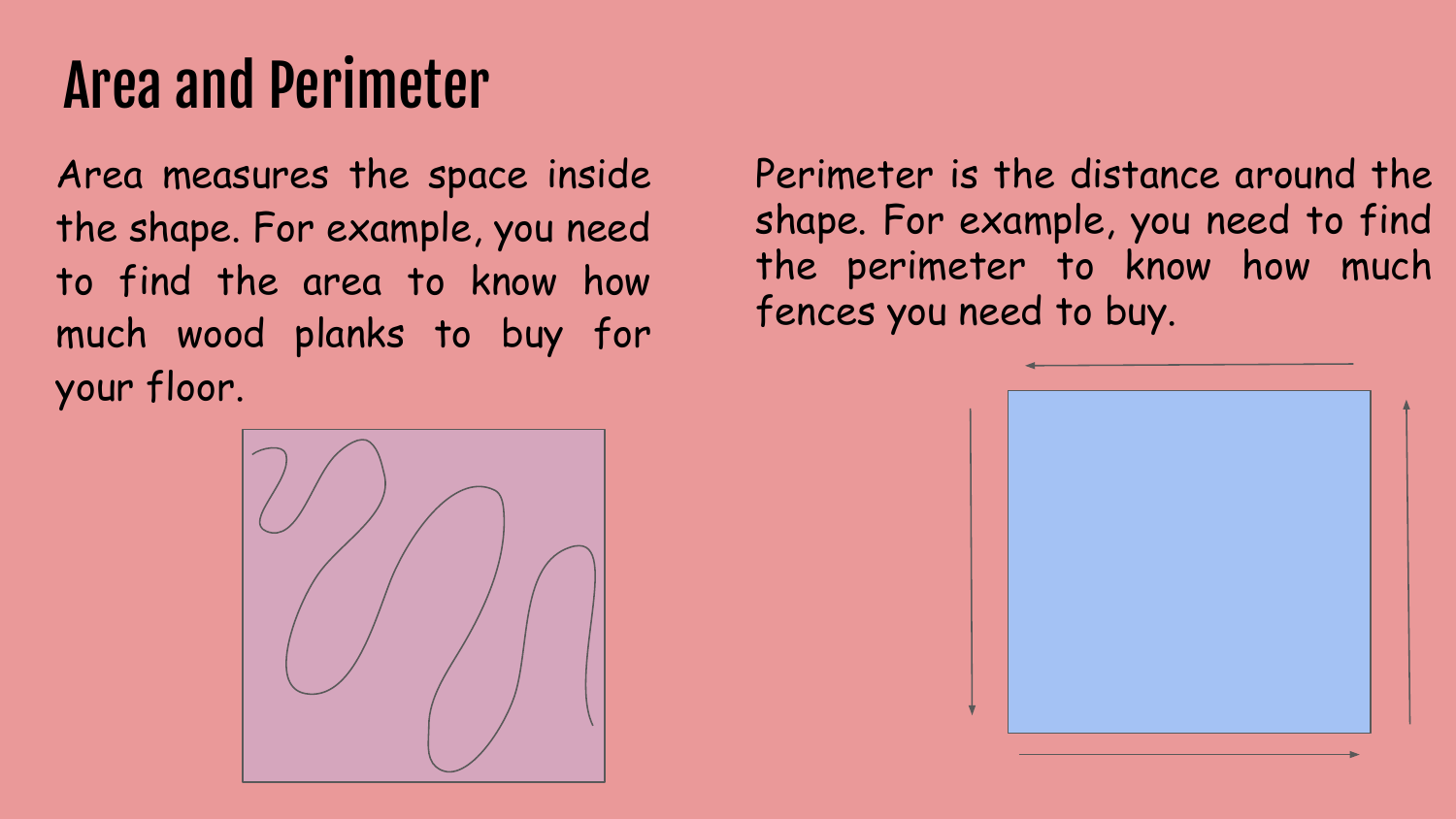# Area and Perimeter

Area measures the space inside the shape. For example, you need to find the area to know how much wood planks to buy for your floor.

Perimeter is the distance around the shape. For example, you need to find the perimeter to know how much fences you need to buy.



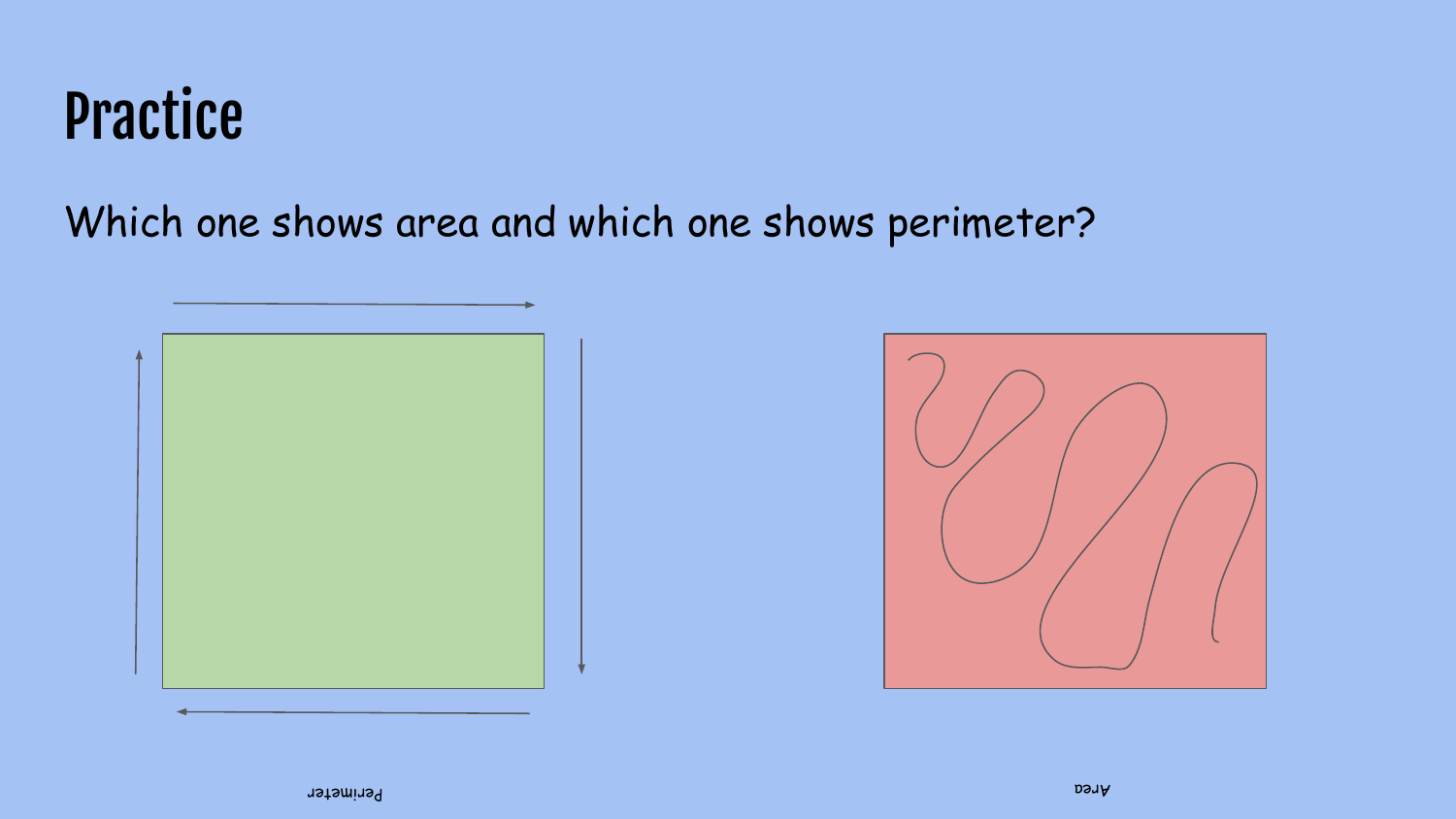#### Practice

Which one shows area and which one shows perimeter?



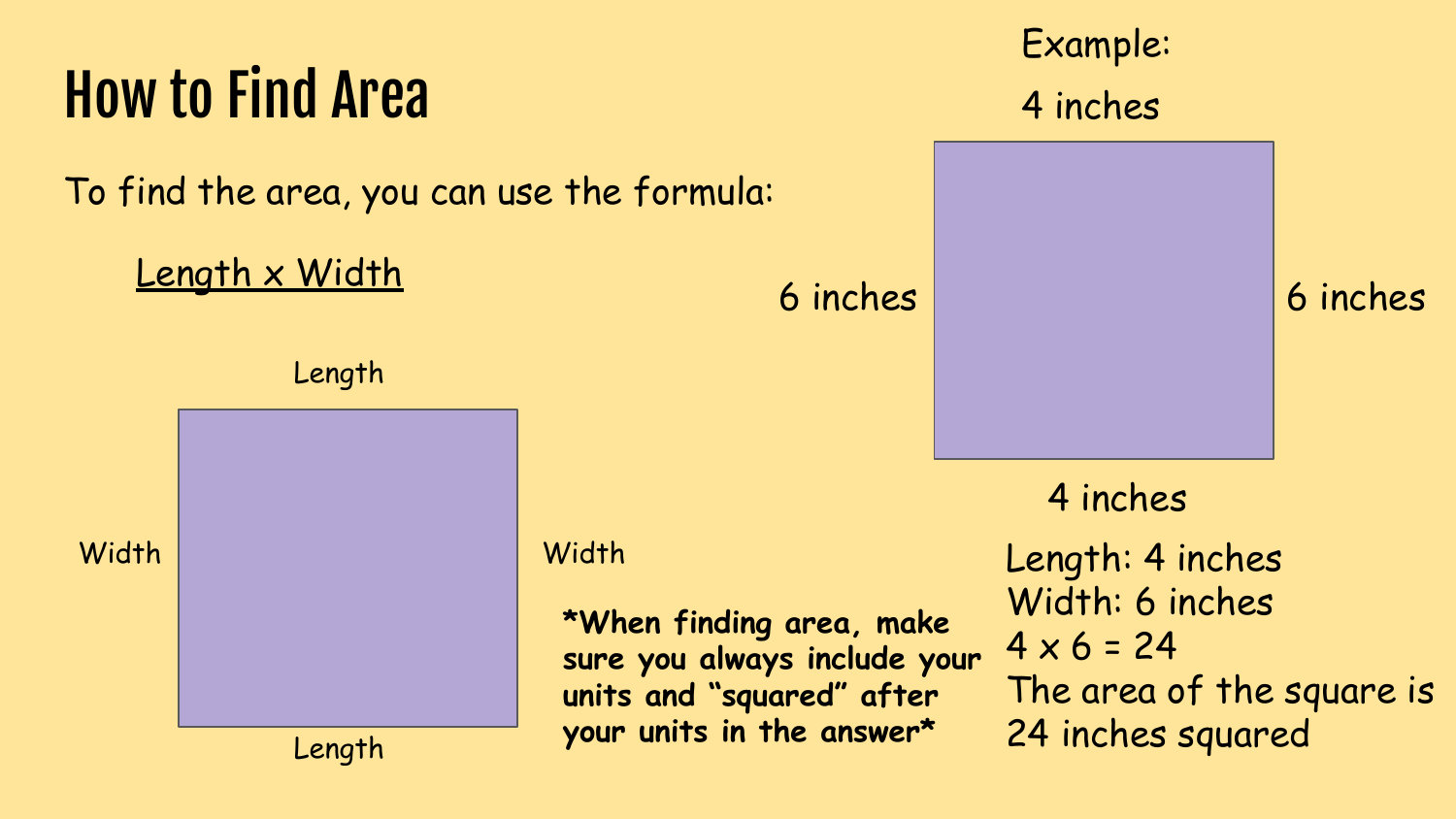# How to Find Area

To find the area, you can use the formula:

#### Length x Width

Length

Length

Width Width

**\*When finding area, make sure you always include your units and "squared" after your units in the answer\***

# Example: 4 inches 4 inches 6 inches 6 inches Length: 4 inches Width: 6 inches  $4 \times 6 = 24$ The area of the square is 24 inches squared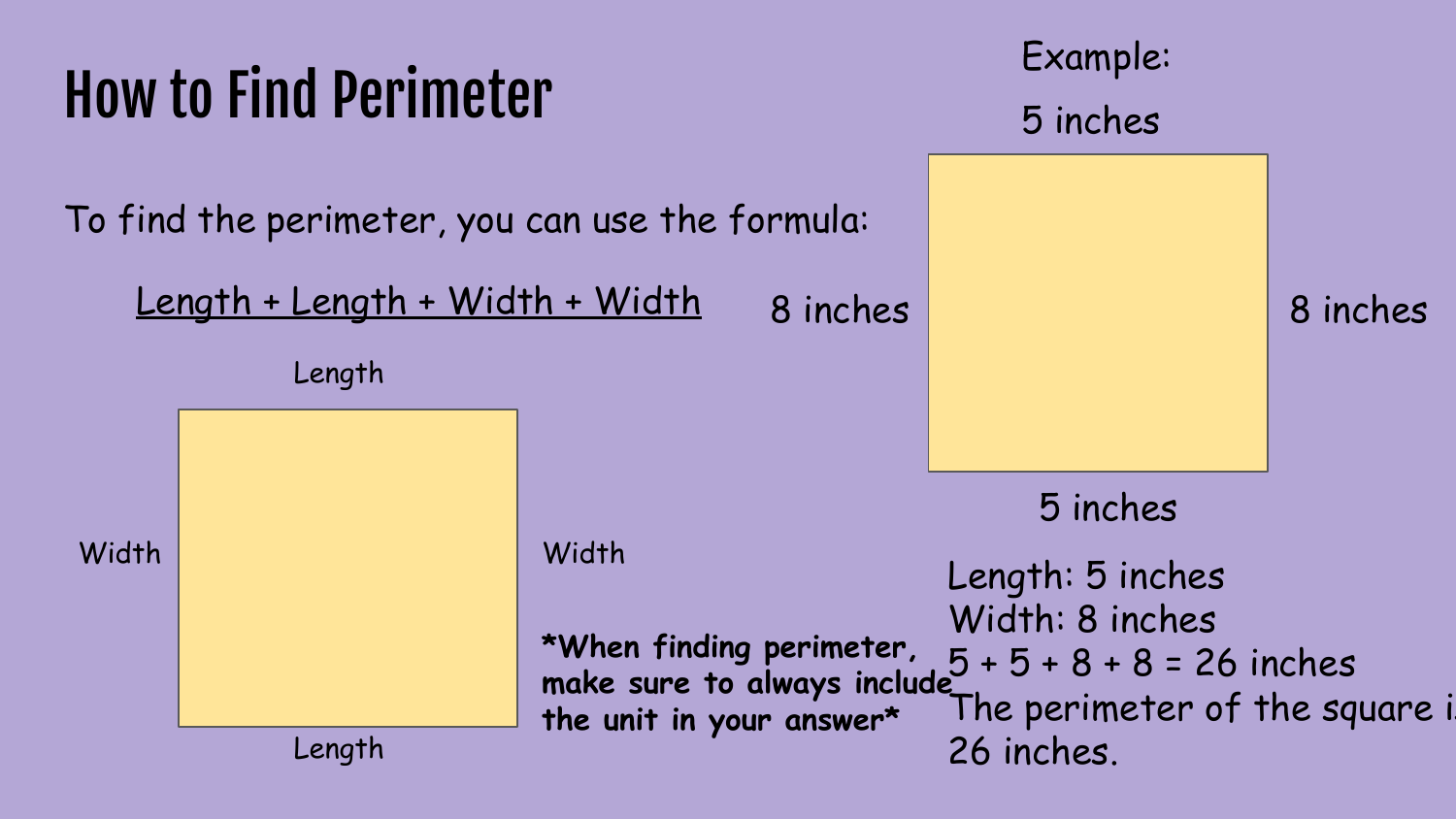# How to Find Perimeter

To find the perimeter, you can use the formula:

Length + Length + Width + Width

Length

Length





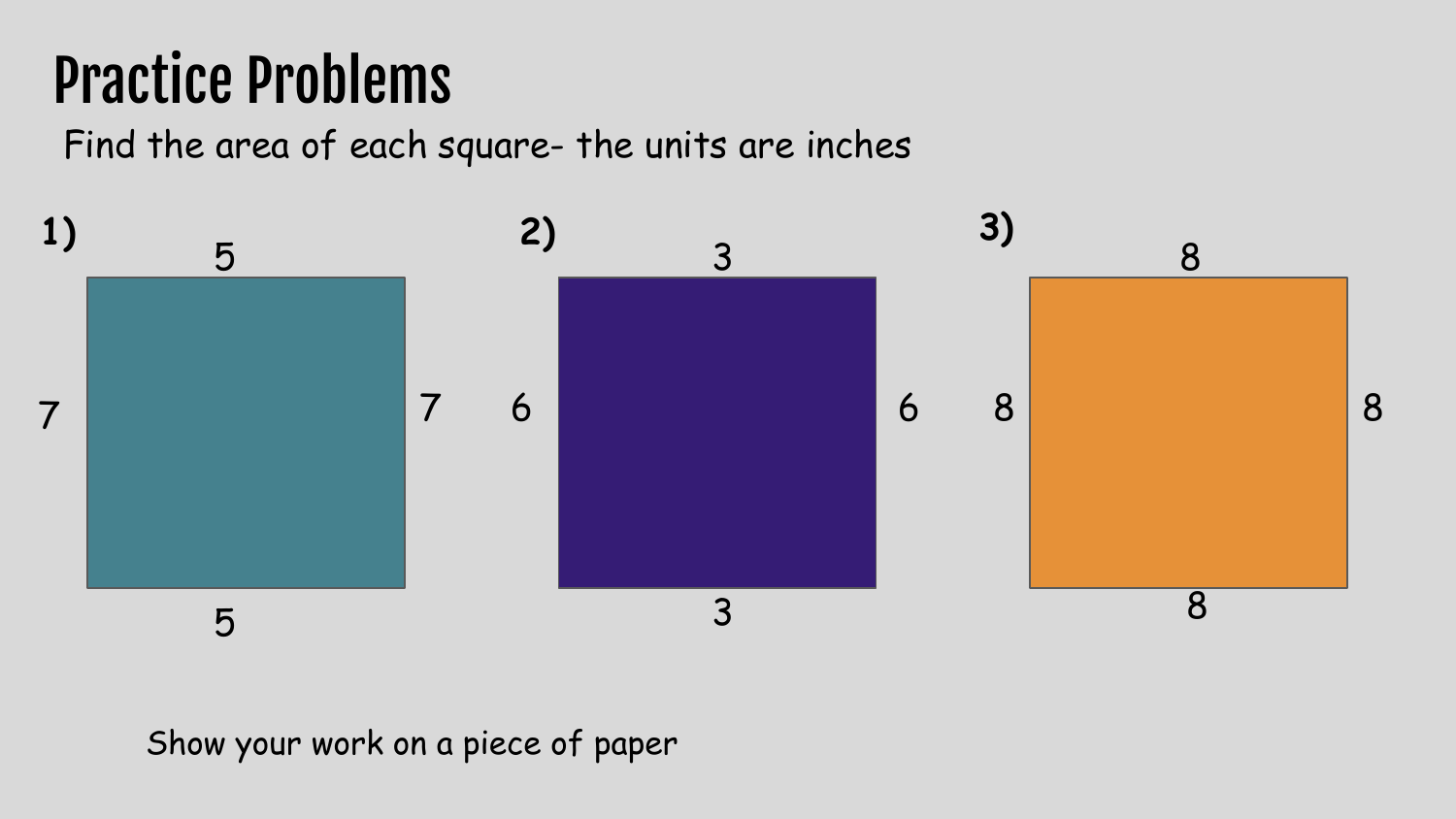#### Practice Problems

Find the area of each square- the units are inches



#### Show your work on a piece of paper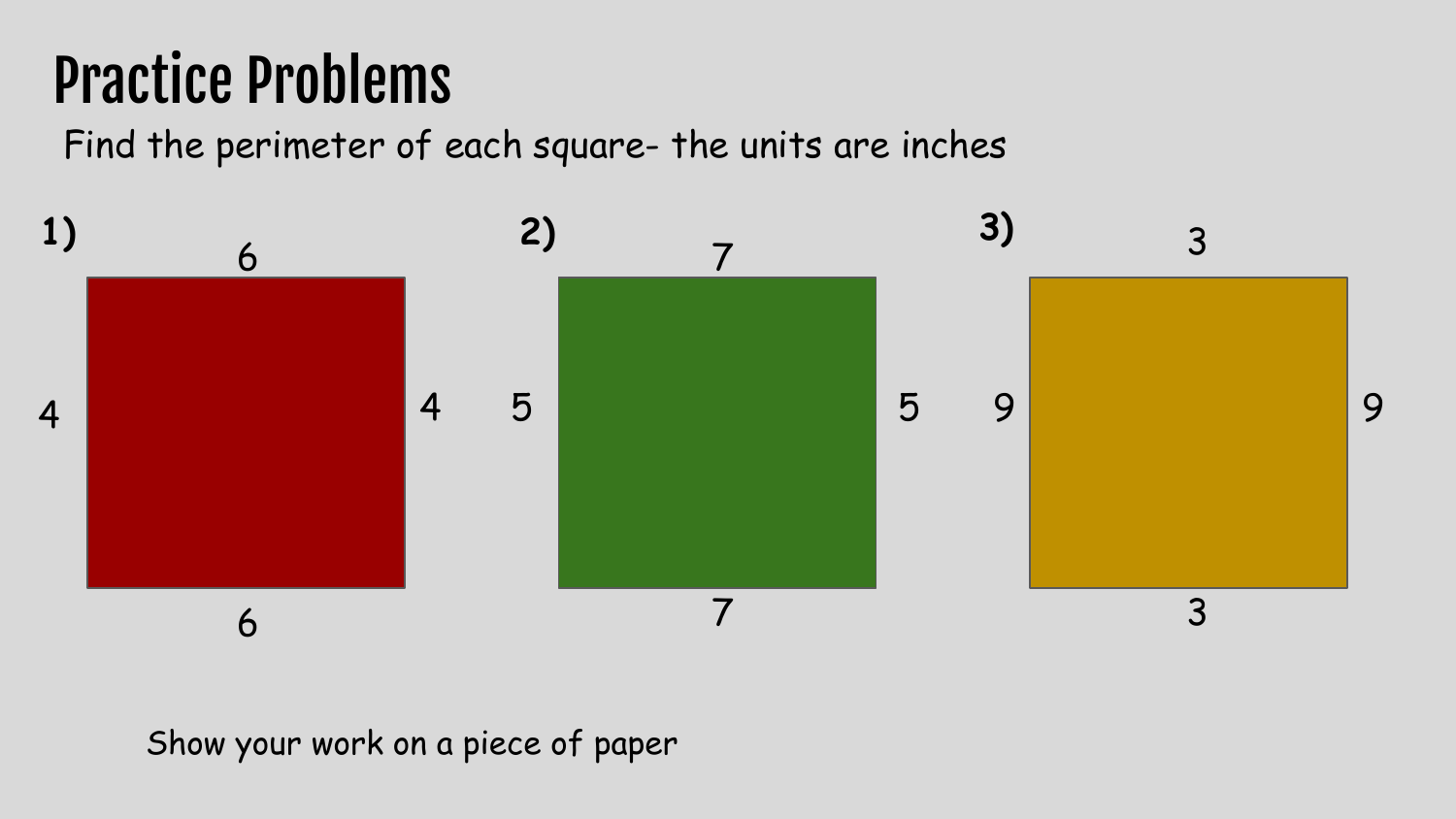# Practice Problems

Find the perimeter of each square- the units are inches



#### Show your work on a piece of paper